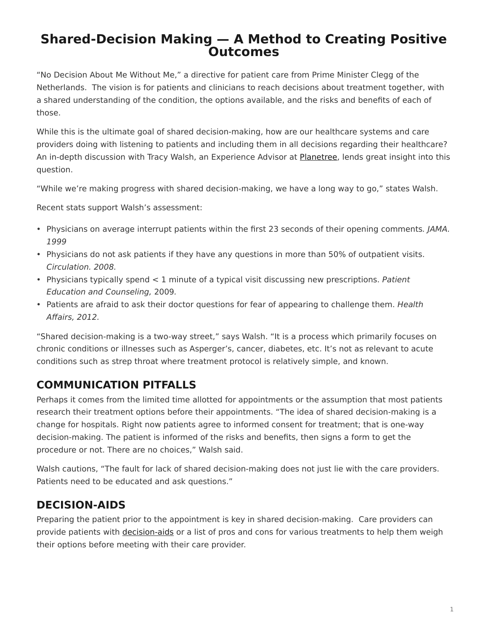# <span id="page-0-0"></span>**Shared-Decision Making — A Method to Creating Positive Outcomes**

"No Decision About Me Without Me," a directive for patient care from Prime Minister Clegg of the Netherlands. The vision is for patients and clinicians to reach decisions about treatment together, with a shared understanding of the condition, the options available, and the risks and benefits of each of those.

While this is the ultimate goal of shared decision-making, how are our healthcare systems and care providers doing with listening to patients and including them in all decisions regarding their healthcare? An in-depth discussion with Tracy Walsh, an Experience Advisor at [Planetree](http://planetree.org/), lends great insight into this question.

"While we're making progress with shared decision-making, we have a long way to go," states Walsh.

Recent stats support Walsh's assessment:

- Physicians on average interrupt patients within the first 23 seconds of their opening comments. JAMA. 1999
- Physicians do not ask patients if they have any questions in more than 50% of outpatient visits. Circulation. 2008.
- Physicians typically spend < 1 minute of a typical visit discussing new prescriptions. Patient Education and Counseling, 2009.
- Patients are afraid to ask their doctor questions for fear of appearing to challenge them. Health Affairs, 2012.

"Shared decision-making is a two-way street," says Walsh. "It is a process which primarily focuses on chronic conditions or illnesses such as Asperger's, cancer, diabetes, etc. It's not as relevant to acute conditions such as strep throat where treatment protocol is relatively simple, and known.

## **COMMUNICATION PITFALLS**

Perhaps it comes from the limited time allotted for appointments or the assumption that most patients research their treatment options before their appointments. "The idea of shared decision-making is a change for hospitals. Right now patients agree to informed consent for treatment; that is one-way decision-making. The patient is informed of the risks and benefits, then signs a form to get the procedure or not. There are no choices," Walsh said.

Walsh cautions, "The fault for lack of shared decision-making does not just lie with the care providers. Patients need to be educated and ask questions."

### **DECISION-AIDS**

Preparing the patient prior to the appointment is key in shared decision-making. Care providers can provide patients with [decision-aids](http://www.informedmedicaldecisions.org/shared-decision-making-in-practice/decision-aids/) or a list of pros and cons for various treatments to help them weigh their options before meeting with their care provider.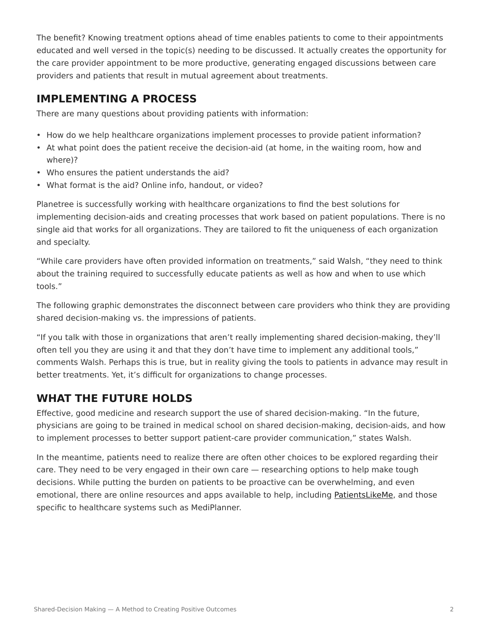The benefit? Knowing treatment options ahead of time enables patients to come to their appointments educated and well versed in the topic(s) needing to be discussed. It actually creates the opportunity for the care provider appointment to be more productive, generating engaged discussions between care providers and patients that result in mutual agreement about treatments.

#### **IMPLEMENTING A PROCESS**

There are many questions about providing patients with information:

- How do we help healthcare organizations implement processes to provide patient information?
- At what point does the patient receive the decision-aid (at home, in the waiting room, how and where)?
- Who ensures the patient understands the aid?
- What format is the aid? Online info, handout, or video?

Planetree is successfully working with healthcare organizations to find the best solutions for implementing decision-aids and creating processes that work based on patient populations. There is no single aid that works for all organizations. They are tailored to fit the uniqueness of each organization and specialty.

"While care providers have often provided information on treatments," said Walsh, "they need to think about the training required to successfully educate patients as well as how and when to use which tools."

The following graphic demonstrates the disconnect between care providers who think they are providing shared decision-making vs. the impressions of patients.

"If you talk with those in organizations that aren't really implementing shared decision-making, they'll often tell you they are using it and that they don't have time to implement any additional tools," comments Walsh. Perhaps this is true, but in reality giving the tools to patients in advance may result in better treatments. Yet, it's difficult for organizations to change processes.

## **WHAT THE FUTURE HOLDS**

Effective, good medicine and research support the use of shared decision-making. "In the future, physicians are going to be trained in medical school on shared decision-making, decision-aids, and how to implement processes to better support patient-care provider communication," states Walsh.

In the meantime, patients need to realize there are often other choices to be explored regarding their care. They need to be very engaged in their own care — researching options to help make tough decisions. While putting the burden on patients to be proactive can be overwhelming, and even emotional, there are online resources and apps available to help, including [PatientsLikeMe](http://www.patientslikeme.com/), and those specific to healthcare systems such as MediPlanner.